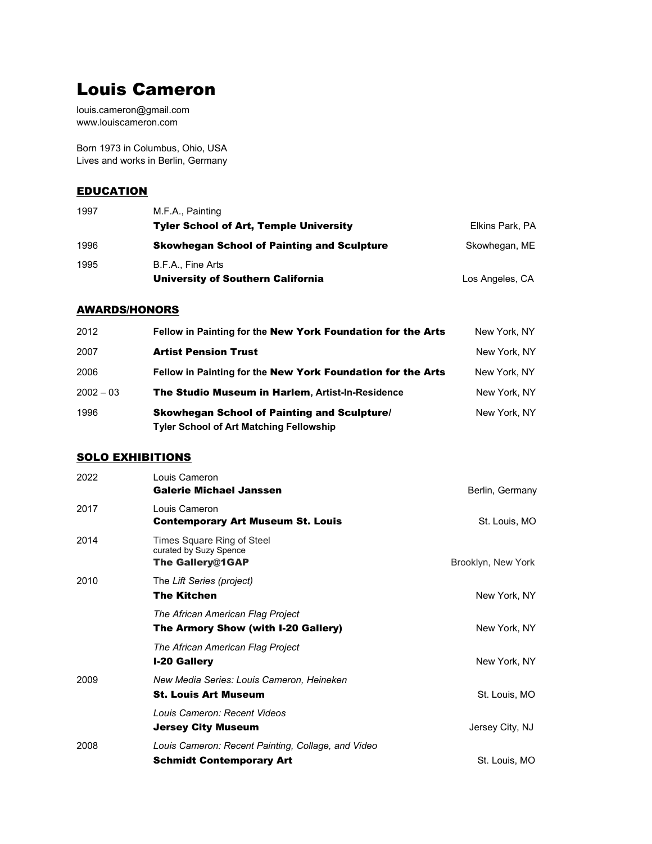# Louis Cameron

louis.cameron@gmail.com www.louiscameron.com

Born 1973 in Columbus, Ohio, USA Lives and works in Berlin, Germany

#### **EDUCATION**

| 1997 | M.F.A., Painting                                  |                 |
|------|---------------------------------------------------|-----------------|
|      | <b>Tyler School of Art, Temple University</b>     | Elkins Park, PA |
| 1996 | <b>Skowhegan School of Painting and Sculpture</b> | Skowhegan, ME   |
| 1995 | B.F.A., Fine Arts                                 |                 |
|      | University of Southern California                 | Los Angeles, CA |

#### AWARDS/HONORS

| 2012        | Fellow in Painting for the New York Foundation for the Arts                                          | New York, NY |
|-------------|------------------------------------------------------------------------------------------------------|--------------|
| 2007        | <b>Artist Pension Trust</b>                                                                          | New York, NY |
| 2006        | Fellow in Painting for the New York Foundation for the Arts                                          | New York, NY |
| $2002 - 03$ | The Studio Museum in Harlem, Artist-In-Residence                                                     | New York, NY |
| 1996        | <b>Skowhegan School of Painting and Sculpture/</b><br><b>Tyler School of Art Matching Fellowship</b> | New York, NY |

#### SOLO EXHIBITIONS

| 2022 | Louis Cameron<br><b>Galerie Michael Janssen</b>                                       | Berlin, Germany    |
|------|---------------------------------------------------------------------------------------|--------------------|
| 2017 | Louis Cameron<br><b>Contemporary Art Museum St. Louis</b>                             | St. Louis, MO      |
| 2014 | Times Square Ring of Steel<br>curated by Suzy Spence<br><b>The Gallery@1GAP</b>       | Brooklyn, New York |
| 2010 | The Lift Series (project)<br><b>The Kitchen</b>                                       | New York, NY       |
|      | The African American Flag Project<br>The Armory Show (with I-20 Gallery)              | New York, NY       |
|      | The African American Flag Project<br><b>I-20 Gallery</b>                              | New York, NY       |
| 2009 | New Media Series: Louis Cameron, Heineken<br><b>St. Louis Art Museum</b>              | St. Louis, MO      |
|      | Louis Cameron: Recent Videos<br><b>Jersey City Museum</b>                             | Jersey City, NJ    |
| 2008 | Louis Cameron: Recent Painting, Collage, and Video<br><b>Schmidt Contemporary Art</b> | St. Louis, MO      |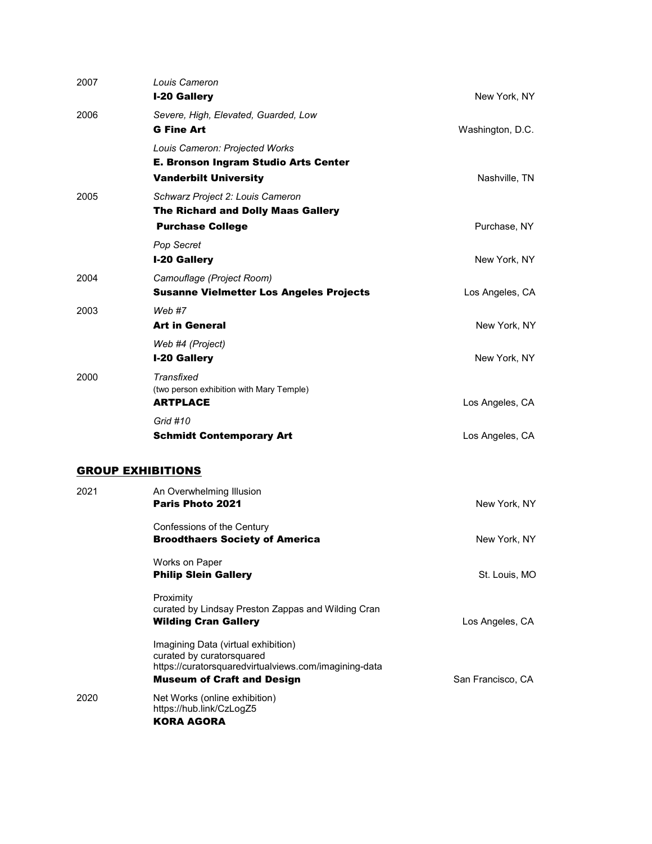| 2007 | Louis Cameron<br><b>I-20 Gallery</b>                                                                                                                           | New York, NY      |
|------|----------------------------------------------------------------------------------------------------------------------------------------------------------------|-------------------|
| 2006 | Severe, High, Elevated, Guarded, Low<br><b>G Fine Art</b>                                                                                                      | Washington, D.C.  |
|      | Louis Cameron: Projected Works<br><b>E. Bronson Ingram Studio Arts Center</b><br><b>Vanderbilt University</b>                                                  | Nashville, TN     |
| 2005 | Schwarz Project 2: Louis Cameron<br>The Richard and Dolly Maas Gallery<br><b>Purchase College</b>                                                              | Purchase, NY      |
|      | Pop Secret<br><b>I-20 Gallery</b>                                                                                                                              | New York, NY      |
| 2004 | Camouflage (Project Room)<br><b>Susanne Vielmetter Los Angeles Projects</b>                                                                                    | Los Angeles, CA   |
| 2003 | Web#7<br><b>Art in General</b>                                                                                                                                 | New York, NY      |
|      | Web #4 (Project)<br><b>I-20 Gallery</b>                                                                                                                        | New York, NY      |
| 2000 | Transfixed<br>(two person exhibition with Mary Temple)<br><b>ARTPLACE</b>                                                                                      | Los Angeles, CA   |
|      | Grid #10<br><b>Schmidt Contemporary Art</b>                                                                                                                    | Los Angeles, CA   |
|      | <b>GROUP EXHIBITIONS</b>                                                                                                                                       |                   |
| 2021 | An Overwhelming Illusion<br>Paris Photo 2021                                                                                                                   | New York, NY      |
|      | Confessions of the Century<br><b>Broodthaers Society of America</b>                                                                                            | New York, NY      |
|      | Works on Paper<br><b>Philip Slein Gallery</b>                                                                                                                  | St. Louis, MO     |
|      | Proximity<br>curated by Lindsay Preston Zappas and Wilding Cran<br><b>Wilding Cran Gallery</b>                                                                 | Los Angeles, CA   |
|      | Imagining Data (virtual exhibition)<br>curated by curatorsquared<br>https://curatorsquaredvirtualviews.com/imagining-data<br><b>Museum of Craft and Design</b> | San Francisco, CA |
| 2020 | Net Works (online exhibition)<br>https://hub.link/CzLogZ5<br><b>KORA AGORA</b>                                                                                 |                   |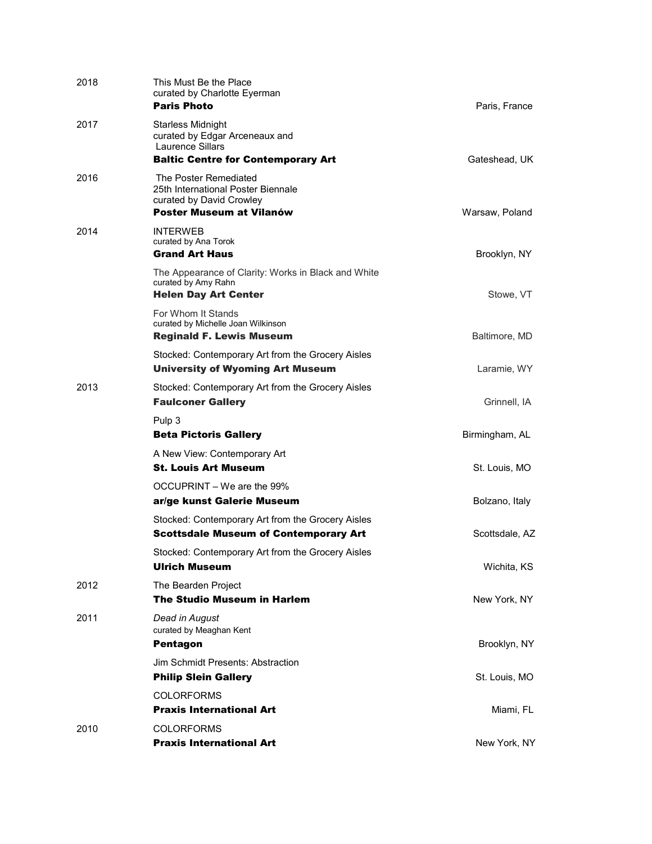| 2018 | This Must Be the Place<br>curated by Charlotte Eyerman<br><b>Paris Photo</b>                                                       | Paris, France  |
|------|------------------------------------------------------------------------------------------------------------------------------------|----------------|
| 2017 | <b>Starless Midnight</b><br>curated by Edgar Arceneaux and<br><b>Laurence Sillars</b><br><b>Baltic Centre for Contemporary Art</b> | Gateshead, UK  |
| 2016 | The Poster Remediated<br>25th International Poster Biennale<br>curated by David Crowley<br><b>Poster Museum at Vilanów</b>         | Warsaw, Poland |
| 2014 | <b>INTERWEB</b><br>curated by Ana Torok<br><b>Grand Art Haus</b>                                                                   | Brooklyn, NY   |
|      | The Appearance of Clarity: Works in Black and White<br>curated by Amy Rahn<br><b>Helen Day Art Center</b>                          | Stowe, VT      |
|      | For Whom It Stands<br>curated by Michelle Joan Wilkinson<br><b>Reginald F. Lewis Museum</b>                                        | Baltimore, MD  |
|      | Stocked: Contemporary Art from the Grocery Aisles<br><b>University of Wyoming Art Museum</b>                                       | Laramie, WY    |
| 2013 | Stocked: Contemporary Art from the Grocery Aisles<br><b>Faulconer Gallery</b>                                                      | Grinnell, IA   |
|      | Pulp 3<br><b>Beta Pictoris Gallery</b>                                                                                             | Birmingham, AL |
|      | A New View: Contemporary Art<br><b>St. Louis Art Museum</b>                                                                        | St. Louis, MO  |
|      | OCCUPRINT – We are the 99%<br>ar/ge kunst Galerie Museum                                                                           | Bolzano, Italy |
|      | Stocked: Contemporary Art from the Grocery Aisles<br><b>Scottsdale Museum of Contemporary Art</b>                                  | Scottsdale, AZ |
|      | Stocked: Contemporary Art from the Grocery Aisles<br><b>Ulrich Museum</b>                                                          | Wichita, KS    |
| 2012 | The Bearden Project<br><b>The Studio Museum in Harlem</b>                                                                          | New York, NY   |
| 2011 | Dead in August<br>curated by Meaghan Kent<br><b>Pentagon</b>                                                                       | Brooklyn, NY   |
|      | Jim Schmidt Presents: Abstraction<br><b>Philip Slein Gallery</b>                                                                   | St. Louis, MO  |
|      | <b>COLORFORMS</b><br><b>Praxis International Art</b>                                                                               | Miami, FL      |
| 2010 | <b>COLORFORMS</b><br><b>Praxis International Art</b>                                                                               | New York, NY   |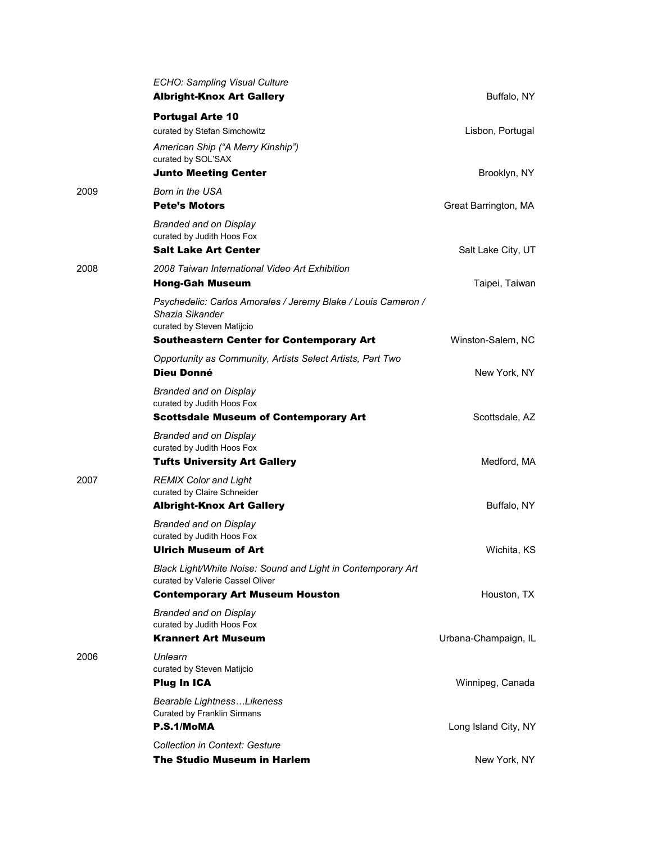|      | ECHO: Sampling Visual Culture<br><b>Albright-Knox Art Gallery</b>                                              | Buffalo, NY          |
|------|----------------------------------------------------------------------------------------------------------------|----------------------|
|      | <b>Portugal Arte 10</b>                                                                                        |                      |
|      | curated by Stefan Simchowitz                                                                                   | Lisbon, Portugal     |
|      | American Ship ("A Merry Kinship")<br>curated by SOL'SAX                                                        |                      |
|      | <b>Junto Meeting Center</b>                                                                                    | Brooklyn, NY         |
| 2009 | <b>Born in the USA</b>                                                                                         |                      |
|      | <b>Pete's Motors</b>                                                                                           | Great Barrington, MA |
|      | <b>Branded and on Display</b><br>curated by Judith Hoos Fox<br>Salt Lake Art Center                            | Salt Lake City, UT   |
| 2008 | 2008 Taiwan International Video Art Exhibition                                                                 |                      |
|      | <b>Hong-Gah Museum</b>                                                                                         | Taipei, Taiwan       |
|      | Psychedelic: Carlos Amorales / Jeremy Blake / Louis Cameron /<br>Shazia Sikander<br>curated by Steven Matijcio |                      |
|      | <b>Southeastern Center for Contemporary Art</b>                                                                | Winston-Salem, NC    |
|      | Opportunity as Community, Artists Select Artists, Part Two<br><b>Dieu Donné</b>                                | New York, NY         |
|      | <b>Branded and on Display</b><br>curated by Judith Hoos Fox<br><b>Scottsdale Museum of Contemporary Art</b>    | Scottsdale, AZ       |
|      | <b>Branded and on Display</b><br>curated by Judith Hoos Fox<br><b>Tufts University Art Gallery</b>             | Medford, MA          |
|      |                                                                                                                |                      |
| 2007 | <b>REMIX Color and Light</b><br>curated by Claire Schneider                                                    |                      |
|      | <b>Albright-Knox Art Gallery</b>                                                                               | Buffalo, NY          |
|      | <b>Branded and on Display</b><br>curated by Judith Hoos Fox                                                    |                      |
|      | <b>Ulrich Museum of Art</b>                                                                                    | Wichita, KS          |
|      | Black Light/White Noise: Sound and Light in Contemporary Art<br>curated by Valerie Cassel Oliver               |                      |
|      | <b>Contemporary Art Museum Houston</b>                                                                         | Houston, TX          |
|      | <b>Branded and on Display</b><br>curated by Judith Hoos Fox                                                    |                      |
|      | <b>Krannert Art Museum</b>                                                                                     | Urbana-Champaign, IL |
| 2006 | Unlearn<br>curated by Steven Matijcio                                                                          |                      |
|      | <b>Plug In ICA</b>                                                                                             | Winnipeg, Canada     |
|      | Bearable LightnessLikeness<br><b>Curated by Franklin Sirmans</b>                                               |                      |
|      | P.S.1/MoMA                                                                                                     | Long Island City, NY |
|      | Collection in Context: Gesture<br><b>The Studio Museum in Harlem</b>                                           | New York, NY         |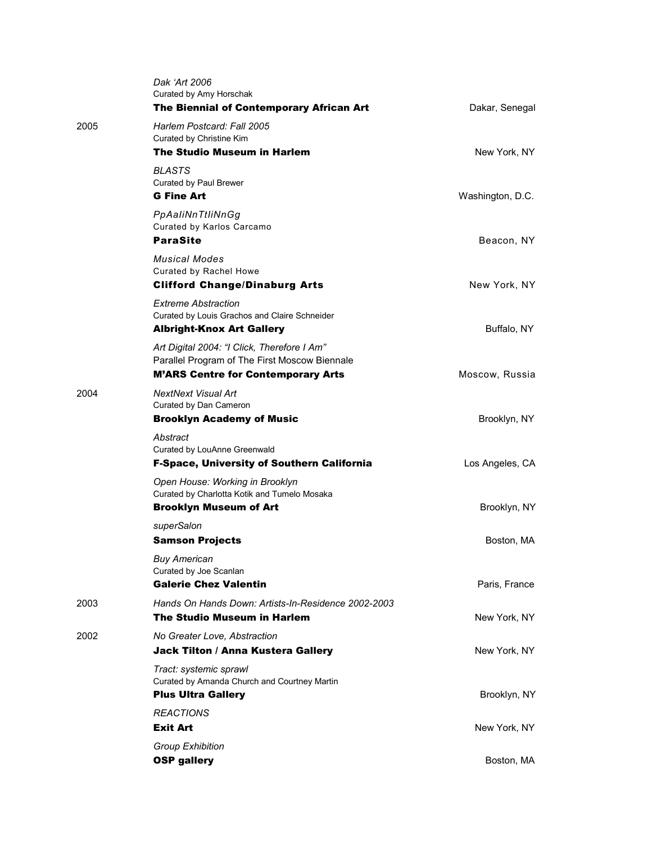|      | Dak 'Art 2006<br>Curated by Amy Horschak<br>The Biennial of Contemporary African Art                | Dakar, Senegal   |
|------|-----------------------------------------------------------------------------------------------------|------------------|
| 2005 | Harlem Postcard: Fall 2005<br>Curated by Christine Kim                                              |                  |
|      | <b>The Studio Museum in Harlem</b>                                                                  | New York, NY     |
|      | <b>BLASTS</b><br><b>Curated by Paul Brewer</b><br><b>G Fine Art</b>                                 |                  |
|      | PpAaliNnTtliNnGg                                                                                    | Washington, D.C. |
|      | Curated by Karlos Carcamo<br><b>ParaSite</b>                                                        | Beacon, NY       |
|      | <b>Musical Modes</b><br>Curated by Rachel Howe<br><b>Clifford Change/Dinaburg Arts</b>              | New York, NY     |
|      | <b>Extreme Abstraction</b><br>Curated by Louis Grachos and Claire Schneider                         |                  |
|      | <b>Albright-Knox Art Gallery</b>                                                                    | Buffalo, NY      |
|      | Art Digital 2004: "I Click, Therefore I Am"<br>Parallel Program of The First Moscow Biennale        |                  |
|      | <b>M'ARS Centre for Contemporary Arts</b>                                                           | Moscow, Russia   |
| 2004 | NextNext Visual Art<br>Curated by Dan Cameron                                                       |                  |
|      | <b>Brooklyn Academy of Music</b>                                                                    | Brooklyn, NY     |
|      | Abstract<br>Curated by LouAnne Greenwald                                                            |                  |
|      | <b>F-Space, University of Southern California</b>                                                   | Los Angeles, CA  |
|      | Open House: Working in Brooklyn<br>Curated by Charlotta Kotik and Tumelo Mosaka                     |                  |
|      | <b>Brooklyn Museum of Art</b>                                                                       | Brooklyn, NY     |
|      | superSalon<br><b>Samson Projects</b>                                                                | Boston, MA       |
|      | <b>Buy American</b><br>Curated by Joe Scanlan<br><b>Galerie Chez Valentin</b>                       | Paris, France    |
| 2003 | Hands On Hands Down: Artists-In-Residence 2002-2003                                                 |                  |
|      | The Studio Museum in Harlem                                                                         | New York, NY     |
| 2002 | No Greater Love, Abstraction<br>Jack Tilton / Anna Kustera Gallery                                  | New York, NY     |
|      | Tract: systemic sprawl<br>Curated by Amanda Church and Courtney Martin<br><b>Plus Ultra Gallery</b> | Brooklyn, NY     |
|      | <b>REACTIONS</b><br><b>Exit Art</b>                                                                 | New York, NY     |
|      | <b>Group Exhibition</b><br><b>OSP gallery</b>                                                       | Boston, MA       |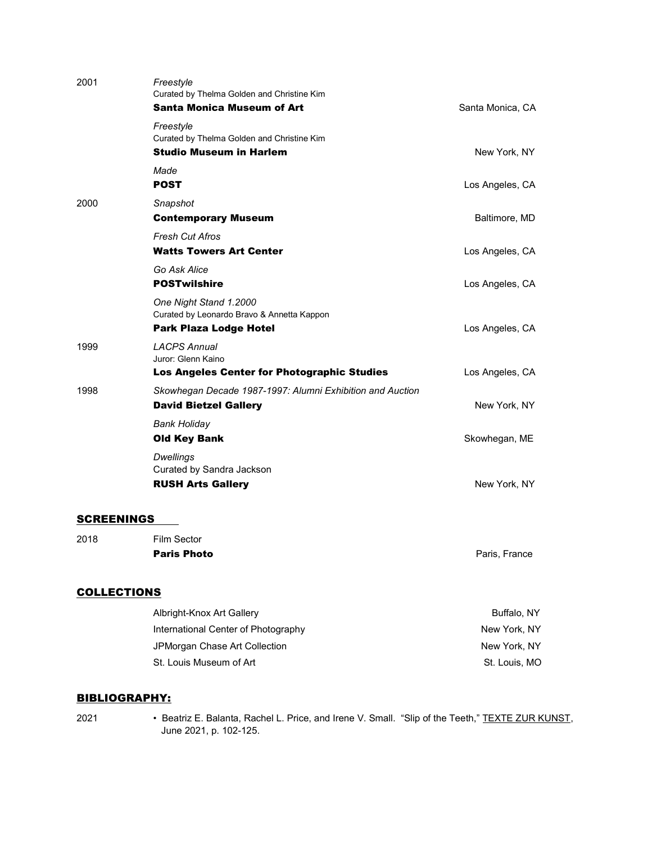| 2018              | Film Sector<br><b>Paris Photo</b>                                                                     | Paris, France    |
|-------------------|-------------------------------------------------------------------------------------------------------|------------------|
| <b>SCREENINGS</b> |                                                                                                       |                  |
|                   | <b>Dwellings</b><br>Curated by Sandra Jackson<br><b>RUSH Arts Gallery</b>                             | New York, NY     |
|                   | <b>Bank Holiday</b><br><b>Old Key Bank</b>                                                            | Skowhegan, ME    |
| 1998              | Skowhegan Decade 1987-1997: Alumni Exhibition and Auction<br><b>David Bietzel Gallery</b>             | New York, NY     |
| 1999              | <b>LACPS Annual</b><br>Juror: Glenn Kaino<br>Los Angeles Center for Photographic Studies              | Los Angeles, CA  |
|                   | One Night Stand 1.2000<br>Curated by Leonardo Bravo & Annetta Kappon<br><b>Park Plaza Lodge Hotel</b> | Los Angeles, CA  |
|                   | Go Ask Alice<br><b>POSTwilshire</b>                                                                   | Los Angeles, CA  |
|                   | <b>Fresh Cut Afros</b><br><b>Watts Towers Art Center</b>                                              | Los Angeles, CA  |
| 2000              | Snapshot<br><b>Contemporary Museum</b>                                                                | Baltimore, MD    |
|                   | Made<br><b>POST</b>                                                                                   | Los Angeles, CA  |
|                   | Freestyle<br>Curated by Thelma Golden and Christine Kim<br><b>Studio Museum in Harlem</b>             | New York, NY     |
| 2001              | Freestyle<br>Curated by Thelma Golden and Christine Kim<br><b>Santa Monica Museum of Art</b>          | Santa Monica, CA |

### **COLLECTIONS**

| Albright-Knox Art Gallery           | Buffalo, NY   |
|-------------------------------------|---------------|
| International Center of Photography | New York, NY  |
| JPMorgan Chase Art Collection       | New York, NY  |
| St. Louis Museum of Art             | St. Louis, MO |

#### BIBLIOGRAPHY:

2021 • Beatriz E. Balanta, Rachel L. Price, and Irene V. Small. "Slip of the Teeth," TEXTE ZUR KUNST, June 2021, p. 102-125.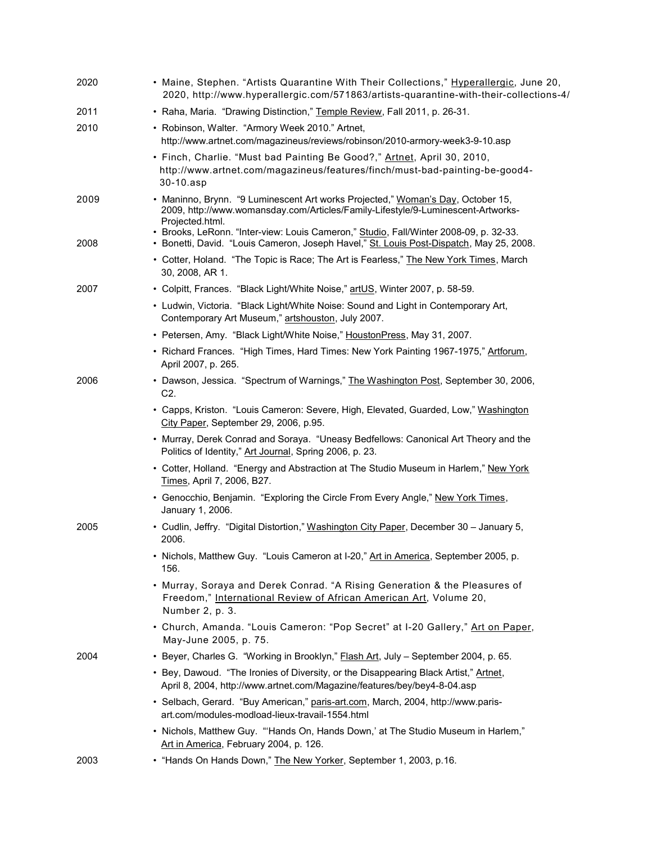| 2020 | • Maine, Stephen. "Artists Quarantine With Their Collections," Hyperallergic, June 20,<br>2020, http://www.hyperallergic.com/571863/artists-quarantine-with-their-collections-4/       |
|------|----------------------------------------------------------------------------------------------------------------------------------------------------------------------------------------|
| 2011 | • Raha, Maria. "Drawing Distinction," Temple Review, Fall 2011, p. 26-31.                                                                                                              |
| 2010 | • Robinson, Walter. "Armory Week 2010." Artnet,<br>http://www.artnet.com/magazineus/reviews/robinson/2010-armory-week3-9-10.asp                                                        |
|      | • Finch, Charlie. "Must bad Painting Be Good?," Artnet, April 30, 2010,<br>http://www.artnet.com/magazineus/features/finch/must-bad-painting-be-good4-<br>30-10.asp                    |
| 2009 | • Maninno, Brynn. "9 Luminescent Art works Projected," Woman's Day, October 15,<br>2009, http://www.womansday.com/Articles/Family-Lifestyle/9-Luminescent-Artworks-<br>Projected.html. |
| 2008 | • Brooks, LeRonn. "Inter-view: Louis Cameron," Studio, Fall/Winter 2008-09, p. 32-33.<br>· Bonetti, David. "Louis Cameron, Joseph Havel," St. Louis Post-Dispatch, May 25, 2008.       |
|      | • Cotter, Holand. "The Topic is Race; The Art is Fearless," The New York Times, March<br>30, 2008, AR 1.                                                                               |
| 2007 | • Colpitt, Frances. "Black Light/White Noise," artUS, Winter 2007, p. 58-59.                                                                                                           |
|      | • Ludwin, Victoria. "Black Light/White Noise: Sound and Light in Contemporary Art,<br>Contemporary Art Museum," artshouston, July 2007.                                                |
|      | • Petersen, Amy. "Black Light/White Noise," HoustonPress, May 31, 2007.                                                                                                                |
|      | • Richard Frances. "High Times, Hard Times: New York Painting 1967-1975," Artforum,<br>April 2007, p. 265.                                                                             |
| 2006 | • Dawson, Jessica. "Spectrum of Warnings," The Washington Post, September 30, 2006,<br>C <sub>2</sub> .                                                                                |
|      | • Capps, Kriston. "Louis Cameron: Severe, High, Elevated, Guarded, Low," Washington<br>City Paper, September 29, 2006, p.95.                                                           |
|      | • Murray, Derek Conrad and Soraya. "Uneasy Bedfellows: Canonical Art Theory and the<br>Politics of Identity," Art Journal, Spring 2006, p. 23.                                         |
|      | • Cotter, Holland. "Energy and Abstraction at The Studio Museum in Harlem," New York<br>Times, April 7, 2006, B27.                                                                     |
|      | • Genocchio, Benjamin. "Exploring the Circle From Every Angle," New York Times,<br>January 1, 2006.                                                                                    |
| 2005 | • Cudlin, Jeffry. "Digital Distortion," Washington City Paper, December 30 - January 5,<br>2006.                                                                                       |
|      | · Nichols, Matthew Guy. "Louis Cameron at I-20," Art in America, September 2005, p.<br>156.                                                                                            |
|      | • Murray, Soraya and Derek Conrad. "A Rising Generation & the Pleasures of<br>Freedom," International Review of African American Art, Volume 20,<br>Number 2, p. 3.                    |
|      | • Church, Amanda. "Louis Cameron: "Pop Secret" at I-20 Gallery," Art on Paper,<br>May-June 2005, p. 75.                                                                                |
| 2004 | • Beyer, Charles G. "Working in Brooklyn," <b>Flash Art</b> , July - September 2004, p. 65.                                                                                            |
|      | • Bey, Dawoud. "The Ironies of Diversity, or the Disappearing Black Artist," Artnet,<br>April 8, 2004, http://www.artnet.com/Magazine/features/bey/bey4-8-04.asp                       |
|      | • Selbach, Gerard. "Buy American," paris-art.com, March, 2004, http://www.paris-<br>art.com/modules-modload-lieux-travail-1554.html                                                    |
|      | • Nichols, Matthew Guy. "'Hands On, Hands Down,' at The Studio Museum in Harlem,"<br>Art in America, February 2004, p. 126.                                                            |
| 2003 | • "Hands On Hands Down," The New Yorker, September 1, 2003, p.16.                                                                                                                      |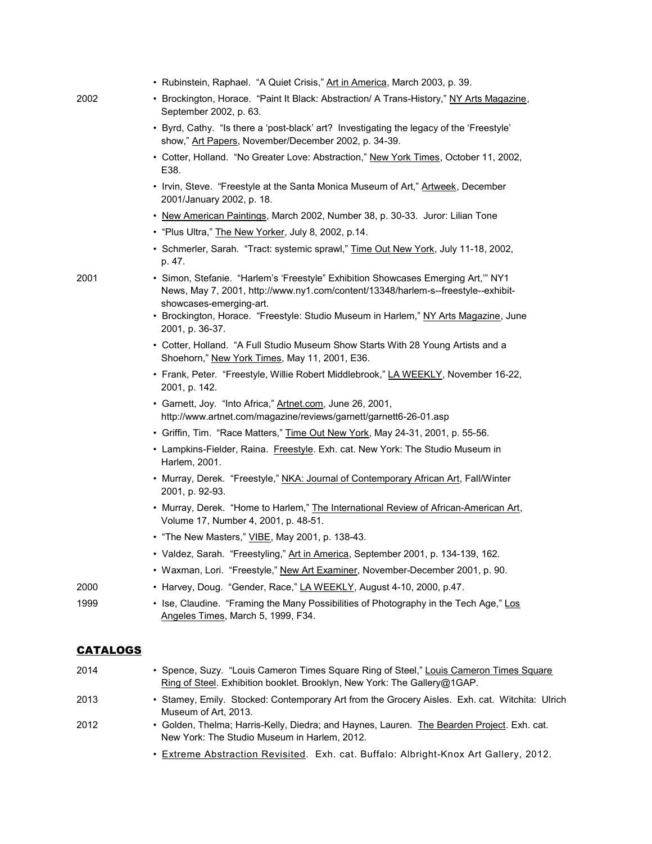|                 | • Rubinstein, Raphael. "A Quiet Crisis," Art in America, March 2003, p. 39.                                                                                                                       |
|-----------------|---------------------------------------------------------------------------------------------------------------------------------------------------------------------------------------------------|
| 2002            | • Brockington, Horace. "Paint It Black: Abstraction/ A Trans-History," NY Arts Magazine,<br>September 2002, p. 63.                                                                                |
|                 | • Byrd, Cathy. "Is there a 'post-black' art? Investigating the legacy of the 'Freestyle'<br>show," Art Papers, November/December 2002, p. 34-39.                                                  |
|                 | • Cotter, Holland. "No Greater Love: Abstraction," New York Times, October 11, 2002,<br>E38.                                                                                                      |
|                 | • Irvin, Steve. "Freestyle at the Santa Monica Museum of Art," Artweek, December<br>2001/January 2002, p. 18.                                                                                     |
|                 | • New American Paintings, March 2002, Number 38, p. 30-33. Juror: Lilian Tone                                                                                                                     |
|                 | . "Plus Ultra," The New Yorker, July 8, 2002, p.14.                                                                                                                                               |
|                 | • Schmerler, Sarah. "Tract: systemic sprawl," Time Out New York, July 11-18, 2002,<br>p. 47.                                                                                                      |
| 2001            | · Simon, Stefanie. "Harlem's 'Freestyle" Exhibition Showcases Emerging Art,"" NY1<br>News, May 7, 2001, http://www.ny1.com/content/13348/harlem-s--freestyle--exhibit-<br>showcases-emerging-art. |
|                 | • Brockington, Horace. "Freestyle: Studio Museum in Harlem," NY Arts Magazine, June<br>2001, p. 36-37.                                                                                            |
|                 | • Cotter, Holland. "A Full Studio Museum Show Starts With 28 Young Artists and a<br>Shoehorn," New York Times, May 11, 2001, E36.                                                                 |
|                 | • Frank, Peter. "Freestyle, Willie Robert Middlebrook," LA WEEKLY, November 16-22,<br>2001, p. 142.                                                                                               |
|                 | · Garnett, Joy. "Into Africa," Artnet.com, June 26, 2001,<br>http://www.artnet.com/magazine/reviews/garnett/garnett6-26-01.asp                                                                    |
|                 | • Griffin, Tim. "Race Matters," Time Out New York, May 24-31, 2001, p. 55-56.                                                                                                                     |
|                 | • Lampkins-Fielder, Raina. Freestyle. Exh. cat. New York: The Studio Museum in<br>Harlem, 2001.                                                                                                   |
|                 | • Murray, Derek. "Freestyle," NKA: Journal of Contemporary African Art, Fall/Winter<br>2001, p. 92-93.                                                                                            |
|                 | • Murray, Derek. "Home to Harlem," The International Review of African-American Art,<br>Volume 17, Number 4, 2001, p. 48-51.                                                                      |
|                 | • "The New Masters," VIBE, May 2001, p. 138-43.                                                                                                                                                   |
|                 | · Valdez, Sarah. "Freestyling," Art in America, September 2001, p. 134-139, 162.                                                                                                                  |
|                 | • Waxman, Lori. "Freestyle," New Art Examiner, November-December 2001, p. 90.                                                                                                                     |
| 2000            | • Harvey, Doug. "Gender, Race," LA WEEKLY, August 4-10, 2000, p.47.                                                                                                                               |
| 1999            | • Ise, Claudine. "Framing the Many Possibilities of Photography in the Tech Age," Los<br>Angeles Times, March 5, 1999, F34.                                                                       |
| <b>CATALOGS</b> |                                                                                                                                                                                                   |
| 2014            | · Spence, Suzy. "Louis Cameron Times Square Ring of Steel," Louis Cameron Times Square<br>Ring of Steel. Exhibition booklet. Brooklyn, New York: The Gallery@1GAP.                                |

- 2013 Stamey, Emily. Stocked: Contemporary Art from the Grocery Aisles. Exh. cat. Witchita: Ulrich Museum of Art, 2013.
- 2012 Golden, Thelma; Harris-Kelly, Diedra; and Haynes, Lauren. The Bearden Project. Exh. cat. New York: The Studio Museum in Harlem, 2012.
	- Extreme Abstraction Revisited. Exh. cat. Buffalo: Albright-Knox Art Gallery, 2012.